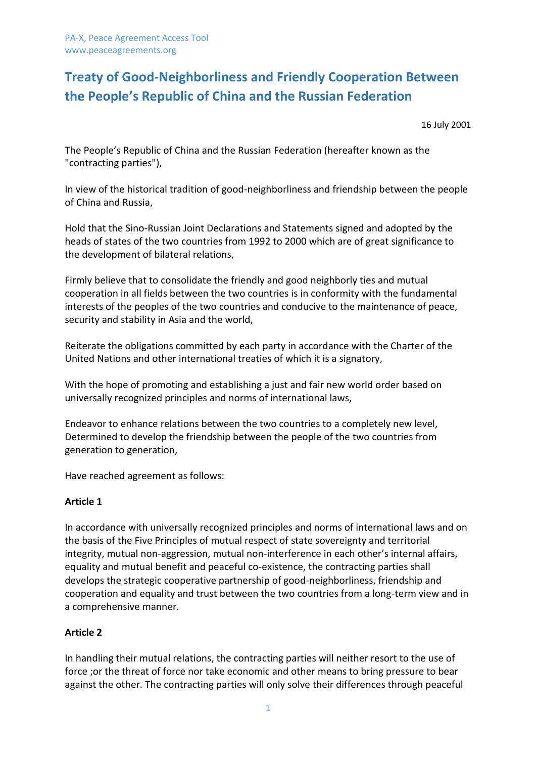# **Treaty of Good-Neighborliness and Friendly Cooperation Between the People's Republic of China and the Russian Federation**

16 July 2001

The People's Republic of China and the Russian Federation (hereafter known as the "contracting parties"),

In view of the historical tradition of good-neighborliness and friendship between the people of China and Russia,

Hold that the Sino-Russian Joint Declarations and Statements signed and adopted by the heads of states of the two countries from 1992 to 2000 which are of great significance to the development of bilateral relations,

Firmly believe that to consolidate the friendly and good neighborly ties and mutual cooperation in all fields between the two countries is in conformity with the fundamental interests of the peoples of the two countries and conducive to the maintenance of peace, security and stability in Asia and the world,

Reiterate the obligations committed by each party in accordance with the Charter of the United Nations and other international treaties of which it is a signatory,

With the hope of promoting and establishing a just and fair new world order based on universally recognized principles and norms of international laws,

Endeavor to enhance relations between the two countries to a completely new level, Determined to develop the friendship between the people of the two countries from generation to generation,

Have reached agreement as follows:

## **Article 1**

In accordance with universally recognized principles and norms of international laws and on the basis of the Five Principles of mutual respect of state sovereignty and territorial integrity, mutual non-aggression, mutual non-interference in each other's internal affairs, equality and mutual benefit and peaceful co-existence, the contracting parties shall develops the strategic cooperative partnership of good-neighborliness, friendship and cooperation and equality and trust between the two countries from a long-term view and in a comprehensive manner.

## **Article 2**

In handling their mutual relations, the contracting parties will neither resort to the use of force ;or the threat of force nor take economic and other means to bring pressure to bear against the other. The contracting parties will only solve their differences through peaceful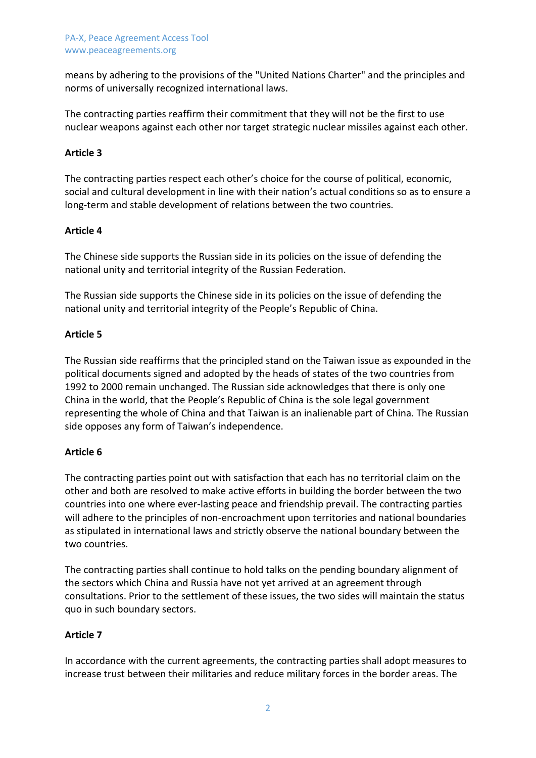means by adhering to the provisions of the "United Nations Charter" and the principles and norms of universally recognized international laws.

The contracting parties reaffirm their commitment that they will not be the first to use nuclear weapons against each other nor target strategic nuclear missiles against each other.

## **Article 3**

The contracting parties respect each other's choice for the course of political, economic, social and cultural development in line with their nation's actual conditions so as to ensure a long-term and stable development of relations between the two countries.

# **Article 4**

The Chinese side supports the Russian side in its policies on the issue of defending the national unity and territorial integrity of the Russian Federation.

The Russian side supports the Chinese side in its policies on the issue of defending the national unity and territorial integrity of the People's Republic of China.

# **Article 5**

The Russian side reaffirms that the principled stand on the Taiwan issue as expounded in the political documents signed and adopted by the heads of states of the two countries from 1992 to 2000 remain unchanged. The Russian side acknowledges that there is only one China in the world, that the People's Republic of China is the sole legal government representing the whole of China and that Taiwan is an inalienable part of China. The Russian side opposes any form of Taiwan's independence.

# **Article 6**

The contracting parties point out with satisfaction that each has no territorial claim on the other and both are resolved to make active efforts in building the border between the two countries into one where ever-lasting peace and friendship prevail. The contracting parties will adhere to the principles of non-encroachment upon territories and national boundaries as stipulated in international laws and strictly observe the national boundary between the two countries.

The contracting parties shall continue to hold talks on the pending boundary alignment of the sectors which China and Russia have not yet arrived at an agreement through consultations. Prior to the settlement of these issues, the two sides will maintain the status quo in such boundary sectors.

# **Article 7**

In accordance with the current agreements, the contracting parties shall adopt measures to increase trust between their militaries and reduce military forces in the border areas. The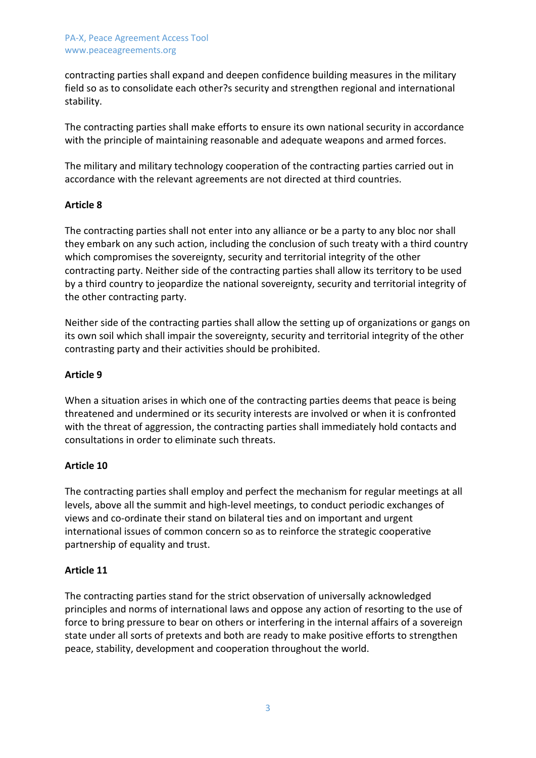contracting parties shall expand and deepen confidence building measures in the military field so as to consolidate each other?s security and strengthen regional and international stability.

The contracting parties shall make efforts to ensure its own national security in accordance with the principle of maintaining reasonable and adequate weapons and armed forces.

The military and military technology cooperation of the contracting parties carried out in accordance with the relevant agreements are not directed at third countries.

#### **Article 8**

The contracting parties shall not enter into any alliance or be a party to any bloc nor shall they embark on any such action, including the conclusion of such treaty with a third country which compromises the sovereignty, security and territorial integrity of the other contracting party. Neither side of the contracting parties shall allow its territory to be used by a third country to jeopardize the national sovereignty, security and territorial integrity of the other contracting party.

Neither side of the contracting parties shall allow the setting up of organizations or gangs on its own soil which shall impair the sovereignty, security and territorial integrity of the other contrasting party and their activities should be prohibited.

#### **Article 9**

When a situation arises in which one of the contracting parties deems that peace is being threatened and undermined or its security interests are involved or when it is confronted with the threat of aggression, the contracting parties shall immediately hold contacts and consultations in order to eliminate such threats.

#### **Article 10**

The contracting parties shall employ and perfect the mechanism for regular meetings at all levels, above all the summit and high-level meetings, to conduct periodic exchanges of views and co-ordinate their stand on bilateral ties and on important and urgent international issues of common concern so as to reinforce the strategic cooperative partnership of equality and trust.

#### **Article 11**

The contracting parties stand for the strict observation of universally acknowledged principles and norms of international laws and oppose any action of resorting to the use of force to bring pressure to bear on others or interfering in the internal affairs of a sovereign state under all sorts of pretexts and both are ready to make positive efforts to strengthen peace, stability, development and cooperation throughout the world.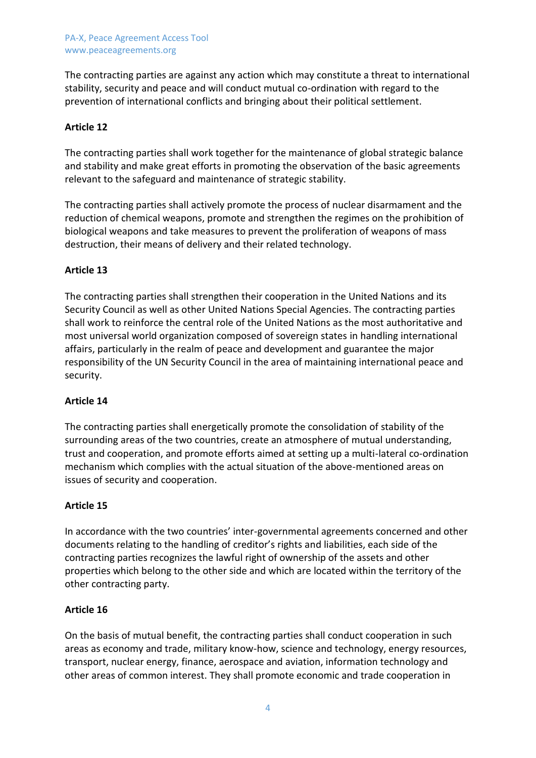The contracting parties are against any action which may constitute a threat to international stability, security and peace and will conduct mutual co-ordination with regard to the prevention of international conflicts and bringing about their political settlement.

# **Article 12**

The contracting parties shall work together for the maintenance of global strategic balance and stability and make great efforts in promoting the observation of the basic agreements relevant to the safeguard and maintenance of strategic stability.

The contracting parties shall actively promote the process of nuclear disarmament and the reduction of chemical weapons, promote and strengthen the regimes on the prohibition of biological weapons and take measures to prevent the proliferation of weapons of mass destruction, their means of delivery and their related technology.

## **Article 13**

The contracting parties shall strengthen their cooperation in the United Nations and its Security Council as well as other United Nations Special Agencies. The contracting parties shall work to reinforce the central role of the United Nations as the most authoritative and most universal world organization composed of sovereign states in handling international affairs, particularly in the realm of peace and development and guarantee the major responsibility of the UN Security Council in the area of maintaining international peace and security.

## **Article 14**

The contracting parties shall energetically promote the consolidation of stability of the surrounding areas of the two countries, create an atmosphere of mutual understanding, trust and cooperation, and promote efforts aimed at setting up a multi-lateral co-ordination mechanism which complies with the actual situation of the above-mentioned areas on issues of security and cooperation.

## **Article 15**

In accordance with the two countries' inter-governmental agreements concerned and other documents relating to the handling of creditor's rights and liabilities, each side of the contracting parties recognizes the lawful right of ownership of the assets and other properties which belong to the other side and which are located within the territory of the other contracting party.

#### **Article 16**

On the basis of mutual benefit, the contracting parties shall conduct cooperation in such areas as economy and trade, military know-how, science and technology, energy resources, transport, nuclear energy, finance, aerospace and aviation, information technology and other areas of common interest. They shall promote economic and trade cooperation in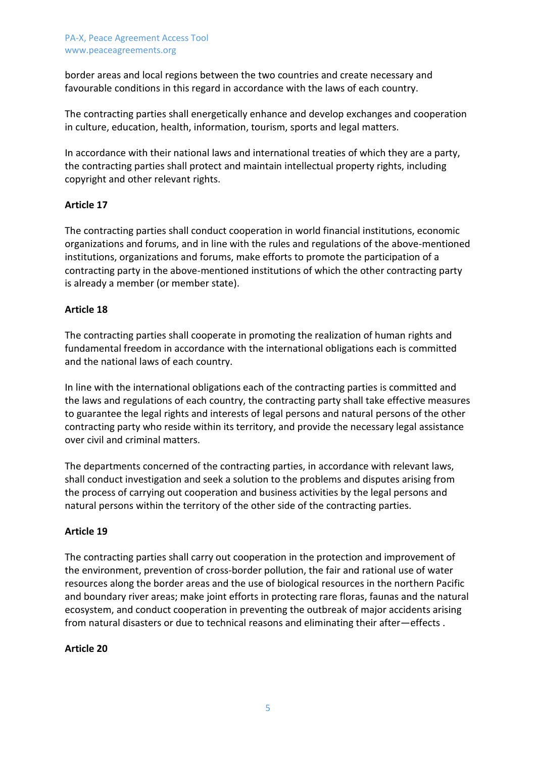border areas and local regions between the two countries and create necessary and favourable conditions in this regard in accordance with the laws of each country.

The contracting parties shall energetically enhance and develop exchanges and cooperation in culture, education, health, information, tourism, sports and legal matters.

In accordance with their national laws and international treaties of which they are a party, the contracting parties shall protect and maintain intellectual property rights, including copyright and other relevant rights.

# **Article 17**

The contracting parties shall conduct cooperation in world financial institutions, economic organizations and forums, and in line with the rules and regulations of the above-mentioned institutions, organizations and forums, make efforts to promote the participation of a contracting party in the above-mentioned institutions of which the other contracting party is already a member (or member state).

# **Article 18**

The contracting parties shall cooperate in promoting the realization of human rights and fundamental freedom in accordance with the international obligations each is committed and the national laws of each country.

In line with the international obligations each of the contracting parties is committed and the laws and regulations of each country, the contracting party shall take effective measures to guarantee the legal rights and interests of legal persons and natural persons of the other contracting party who reside within its territory, and provide the necessary legal assistance over civil and criminal matters.

The departments concerned of the contracting parties, in accordance with relevant laws, shall conduct investigation and seek a solution to the problems and disputes arising from the process of carrying out cooperation and business activities by the legal persons and natural persons within the territory of the other side of the contracting parties.

# **Article 19**

The contracting parties shall carry out cooperation in the protection and improvement of the environment, prevention of cross-border pollution, the fair and rational use of water resources along the border areas and the use of biological resources in the northern Pacific and boundary river areas; make joint efforts in protecting rare floras, faunas and the natural ecosystem, and conduct cooperation in preventing the outbreak of major accidents arising from natural disasters or due to technical reasons and eliminating their after—effects .

## **Article 20**